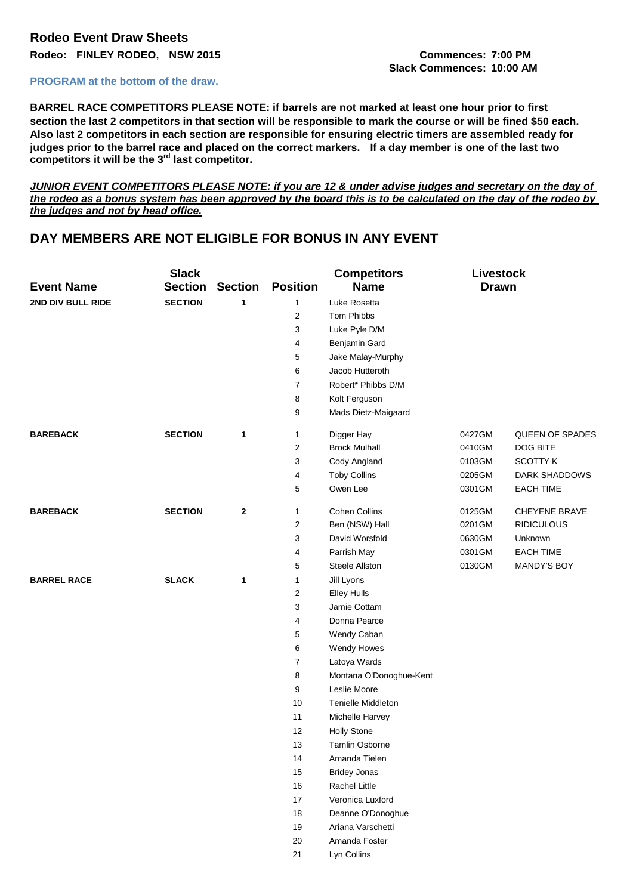# **Rodeo Event Draw Sheets Rodeo: FINLEY RODEO, NSW 2015 Commences: 7:00 PM**

### **PROGRAM at the bottom of the draw.**

**BARREL RACE COMPETITORS PLEASE NOTE: if barrels are not marked at least one hour prior to first section the last 2 competitors in that section will be responsible to mark the course or will be fined \$50 each. Also last 2 competitors in each section are responsible for ensuring electric timers are assembled ready for judges prior to the barrel race and placed on the correct markers. If a day member is one of the last two competitors it will be the 3rd last competitor.**

*JUNIOR EVENT COMPETITORS PLEASE NOTE: if you are 12 & under advise judges and secretary on the day of the rodeo as a bonus system has been approved by the board this is to be calculated on the day of the rodeo by the judges and not by head office.*

## **DAY MEMBERS ARE NOT ELIGIBLE FOR BONUS IN ANY EVENT**

|                    | <b>Slack</b>   |                |                 | <b>Competitors</b>      | <b>Livestock</b> |                      |
|--------------------|----------------|----------------|-----------------|-------------------------|------------------|----------------------|
| <b>Event Name</b>  | <b>Section</b> | <b>Section</b> | <b>Position</b> | <b>Name</b>             | <b>Drawn</b>     |                      |
| 2ND DIV BULL RIDE  | <b>SECTION</b> | 1              | 1               | Luke Rosetta            |                  |                      |
|                    |                |                | $\overline{2}$  | Tom Phibbs              |                  |                      |
|                    |                |                | 3               | Luke Pyle D/M           |                  |                      |
|                    |                |                | 4               | Benjamin Gard           |                  |                      |
|                    |                |                | 5               | Jake Malay-Murphy       |                  |                      |
|                    |                |                | 6               | Jacob Hutteroth         |                  |                      |
|                    |                |                | $\overline{7}$  | Robert* Phibbs D/M      |                  |                      |
|                    |                |                | 8               | Kolt Ferguson           |                  |                      |
|                    |                |                | 9               | Mads Dietz-Maigaard     |                  |                      |
| <b>BAREBACK</b>    | <b>SECTION</b> | 1              | $\mathbf{1}$    | Digger Hay              | 0427GM           | QUEEN OF SPADES      |
|                    |                |                | $\overline{2}$  | <b>Brock Mulhall</b>    | 0410GM           | DOG BITE             |
|                    |                |                | 3               | Cody Angland            | 0103GM           | <b>SCOTTY K</b>      |
|                    |                |                | 4               | <b>Toby Collins</b>     | 0205GM           | DARK SHADDOWS        |
|                    |                |                | 5               | Owen Lee                | 0301GM           | <b>EACH TIME</b>     |
| <b>BAREBACK</b>    | <b>SECTION</b> | $\mathbf 2$    | 1               | <b>Cohen Collins</b>    | 0125GM           | <b>CHEYENE BRAVE</b> |
|                    |                |                | $\overline{2}$  | Ben (NSW) Hall          | 0201GM           | <b>RIDICULOUS</b>    |
|                    |                |                | 3               | David Worsfold          | 0630GM           | Unknown              |
|                    |                |                | 4               | Parrish May             | 0301GM           | <b>EACH TIME</b>     |
|                    |                |                | 5               | <b>Steele Allston</b>   | 0130GM           | <b>MANDY'S BOY</b>   |
| <b>BARREL RACE</b> | <b>SLACK</b>   | 1              | 1               | Jill Lyons              |                  |                      |
|                    |                |                | $\overline{2}$  | <b>Elley Hulls</b>      |                  |                      |
|                    |                |                | 3               | Jamie Cottam            |                  |                      |
|                    |                |                | 4               | Donna Pearce            |                  |                      |
|                    |                |                | 5               | Wendy Caban             |                  |                      |
|                    |                |                | 6               | Wendy Howes             |                  |                      |
|                    |                |                | $\overline{7}$  | Latoya Wards            |                  |                      |
|                    |                |                | 8               | Montana O'Donoghue-Kent |                  |                      |
|                    |                |                | 9               | Leslie Moore            |                  |                      |
|                    |                |                | 10              | Tenielle Middleton      |                  |                      |
|                    |                |                | 11              | Michelle Harvey         |                  |                      |
|                    |                |                | 12              | <b>Holly Stone</b>      |                  |                      |
|                    |                |                | 13              | Tamlin Osborne          |                  |                      |
|                    |                |                | 14              | Amanda Tielen           |                  |                      |
|                    |                |                | 15              | <b>Bridey Jonas</b>     |                  |                      |
|                    |                |                | 16              | Rachel Little           |                  |                      |
|                    |                |                | 17              | Veronica Luxford        |                  |                      |
|                    |                |                | 18              | Deanne O'Donoghue       |                  |                      |
|                    |                |                | 19              | Ariana Varschetti       |                  |                      |
|                    |                |                | $20\,$          | Amanda Foster           |                  |                      |
|                    |                |                | 21              | Lyn Collins             |                  |                      |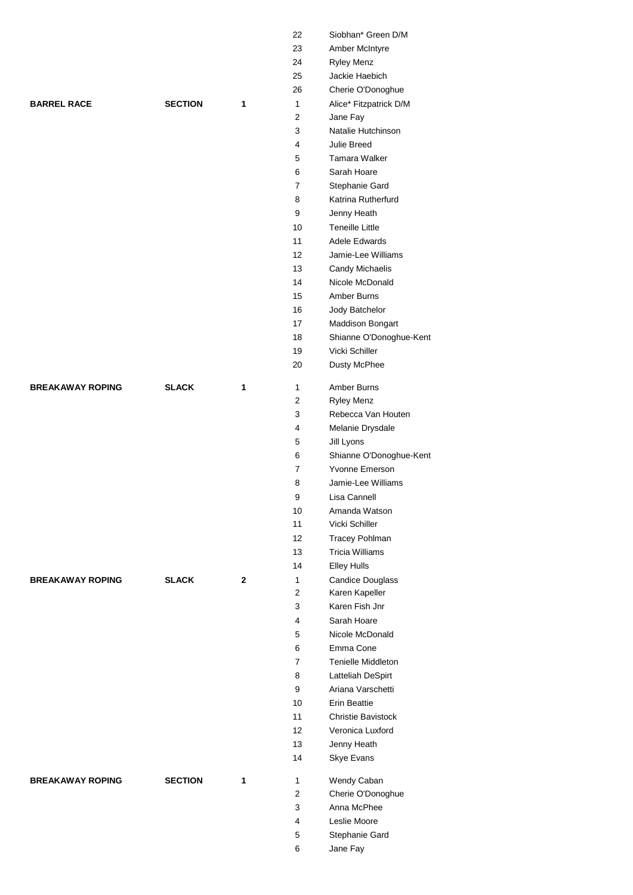|                         |                |                | 22             | Siobhan* Green D/M             |
|-------------------------|----------------|----------------|----------------|--------------------------------|
|                         |                |                | 23             | Amber McIntyre                 |
|                         |                |                | 24             | Ryley Menz                     |
|                         |                |                | 25             | Jackie Haebich                 |
|                         |                |                | 26             | Cherie O'Donoghue              |
| <b>BARREL RACE</b>      | <b>SECTION</b> | $\mathbf{1}$   | $\mathbf{1}$   | Alice* Fitzpatrick D/M         |
|                         |                |                | $\overline{2}$ | Jane Fay                       |
|                         |                |                | 3              | Natalie Hutchinson             |
|                         |                |                | 4              | Julie Breed                    |
|                         |                |                | 5              | Tamara Walker                  |
|                         |                |                | 6              | Sarah Hoare                    |
|                         |                |                | $\overline{7}$ | Stephanie Gard                 |
|                         |                |                | 8              | Katrina Rutherfurd             |
|                         |                |                | 9              |                                |
|                         |                |                | 10             | Jenny Heath<br>Teneille Little |
|                         |                |                |                | Adele Edwards                  |
|                         |                |                | 11             |                                |
|                         |                |                | 12             | Jamie-Lee Williams             |
|                         |                |                | 13             | Candy Michaelis                |
|                         |                |                | 14             | Nicole McDonald                |
|                         |                |                | 15             | Amber Burns                    |
|                         |                |                | 16             | Jody Batchelor                 |
|                         |                |                | 17             | Maddison Bongart               |
|                         |                |                | 18             | Shianne O'Donoghue-Kent        |
|                         |                |                | 19             | Vicki Schiller                 |
|                         |                |                | 20             | Dusty McPhee                   |
| <b>BREAKAWAY ROPING</b> | <b>SLACK</b>   | 1              | $\mathbf{1}$   | Amber Burns                    |
|                         |                |                | 2              | Ryley Menz                     |
|                         |                |                | 3              | Rebecca Van Houten             |
|                         |                |                | 4              | Melanie Drysdale               |
|                         |                |                | 5              | Jill Lyons                     |
|                         |                |                | 6              | Shianne O'Donoghue-Kent        |
|                         |                |                | $\overline{7}$ | Yvonne Emerson                 |
|                         |                |                | 8              | Jamie-Lee Williams             |
|                         |                |                | 9              | Lisa Cannell                   |
|                         |                |                |                | Amanda Watson                  |
|                         |                |                | 10<br>11       | Vicki Schiller                 |
|                         |                |                |                |                                |
|                         |                |                | 12             | <b>Tracey Pohlman</b>          |
|                         |                |                | 13             | <b>Tricia Williams</b>         |
|                         |                |                | 14             | <b>Elley Hulls</b>             |
| <b>BREAKAWAY ROPING</b> | <b>SLACK</b>   | $\overline{2}$ | $\mathbf{1}$   | <b>Candice Douglass</b>        |
|                         |                |                | $\overline{2}$ | Karen Kapeller                 |
|                         |                |                | 3              | Karen Fish Jnr                 |
|                         |                |                | 4              | Sarah Hoare                    |
|                         |                |                | 5              | Nicole McDonald                |
|                         |                |                | 6              | Emma Cone                      |
|                         |                |                | $\overline{7}$ | Tenielle Middleton             |
|                         |                |                | 8              | Latteliah DeSpirt              |
|                         |                |                | 9              | Ariana Varschetti              |
|                         |                |                | 10             | Erin Beattie                   |
|                         |                |                | 11             | Christie Bavistock             |
|                         |                |                | 12             | Veronica Luxford               |
|                         |                |                | 13             | Jenny Heath                    |
|                         |                |                | 14             | Skye Evans                     |
| <b>BREAKAWAY ROPING</b> | <b>SECTION</b> | $\mathbf{1}$   | $\mathbf{1}$   | Wendy Caban                    |
|                         |                |                | $\overline{2}$ | Cherie O'Donoghue              |
|                         |                |                | 3              | Anna McPhee                    |
|                         |                |                | 4              | Leslie Moore                   |
|                         |                |                | 5              | Stephanie Gard                 |
|                         |                |                | 6              | Jane Fay                       |
|                         |                |                |                |                                |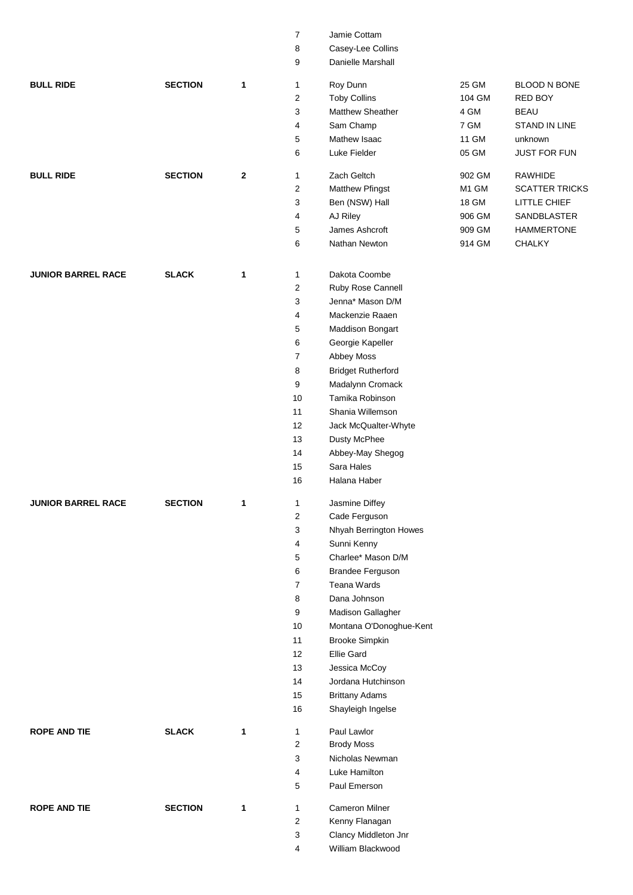|                           |                |             | $\overline{7}$          | Jamie Cottam              |        |                       |
|---------------------------|----------------|-------------|-------------------------|---------------------------|--------|-----------------------|
|                           |                |             | 8                       | Casey-Lee Collins         |        |                       |
|                           |                |             | 9                       | Danielle Marshall         |        |                       |
| <b>BULL RIDE</b>          | <b>SECTION</b> | 1           | 1                       | Roy Dunn                  | 25 GM  | <b>BLOOD N BONE</b>   |
|                           |                |             | $\overline{\mathbf{c}}$ | <b>Toby Collins</b>       | 104 GM | RED BOY               |
|                           |                |             | 3                       | Matthew Sheather          | 4 GM   | <b>BEAU</b>           |
|                           |                |             | 4                       | Sam Champ                 | 7 GM   | STAND IN LINE         |
|                           |                |             | 5                       | Mathew Isaac              | 11 GM  | unknown               |
|                           |                |             | 6                       | Luke Fielder              | 05 GM  | <b>JUST FOR FUN</b>   |
| <b>BULL RIDE</b>          | <b>SECTION</b> | $\mathbf 2$ | $\mathbf{1}$            | Zach Geltch               | 902 GM | <b>RAWHIDE</b>        |
|                           |                |             | $\overline{\mathbf{c}}$ | Matthew Pfingst           | M1 GM  | <b>SCATTER TRICKS</b> |
|                           |                |             | 3                       | Ben (NSW) Hall            | 18 GM  | LITTLE CHIEF          |
|                           |                |             | 4                       | AJ Riley                  | 906 GM | SANDBLASTER           |
|                           |                |             | 5                       | James Ashcroft            | 909 GM | <b>HAMMERTONE</b>     |
|                           |                |             | 6                       | Nathan Newton             | 914 GM | <b>CHALKY</b>         |
|                           |                |             |                         |                           |        |                       |
| <b>JUNIOR BARREL RACE</b> | <b>SLACK</b>   | 1           | 1                       | Dakota Coombe             |        |                       |
|                           |                |             | 2                       | Ruby Rose Cannell         |        |                       |
|                           |                |             | 3                       | Jenna* Mason D/M          |        |                       |
|                           |                |             | 4                       | Mackenzie Raaen           |        |                       |
|                           |                |             | 5                       | Maddison Bongart          |        |                       |
|                           |                |             | 6                       | Georgie Kapeller          |        |                       |
|                           |                |             | $\overline{7}$          | Abbey Moss                |        |                       |
|                           |                |             | 8                       | <b>Bridget Rutherford</b> |        |                       |
|                           |                |             | 9                       | Madalynn Cromack          |        |                       |
|                           |                |             | 10                      | Tamika Robinson           |        |                       |
|                           |                |             | 11                      | Shania Willemson          |        |                       |
|                           |                |             | 12                      | Jack McQualter-Whyte      |        |                       |
|                           |                |             | 13                      | Dusty McPhee              |        |                       |
|                           |                |             | 14                      | Abbey-May Shegog          |        |                       |
|                           |                |             | 15                      | Sara Hales                |        |                       |
|                           |                |             | 16                      | Halana Haber              |        |                       |
| JUNIOR BARREL RACE        | <b>SECTION</b> | 1           | 1                       | Jasmine Diffey            |        |                       |
|                           |                |             | 2                       | Cade Ferguson             |        |                       |
|                           |                |             | 3                       | Nhyah Berrington Howes    |        |                       |
|                           |                |             | 4                       | Sunni Kenny               |        |                       |
|                           |                |             | 5                       | Charlee* Mason D/M        |        |                       |
|                           |                |             | 6                       | <b>Brandee Ferguson</b>   |        |                       |
|                           |                |             | 7                       | Teana Wards               |        |                       |
|                           |                |             | 8                       | Dana Johnson              |        |                       |
|                           |                |             | 9                       | Madison Gallagher         |        |                       |
|                           |                |             | 10                      | Montana O'Donoghue-Kent   |        |                       |
|                           |                |             | 11                      | <b>Brooke Simpkin</b>     |        |                       |
|                           |                |             | 12                      | Ellie Gard                |        |                       |
|                           |                |             | 13                      | Jessica McCoy             |        |                       |
|                           |                |             | 14                      | Jordana Hutchinson        |        |                       |
|                           |                |             | 15                      | <b>Brittany Adams</b>     |        |                       |
|                           |                |             | 16                      | Shayleigh Ingelse         |        |                       |
| <b>ROPE AND TIE</b>       | <b>SLACK</b>   | 1           | 1                       | Paul Lawlor               |        |                       |
|                           |                |             | $\overline{c}$          | <b>Brody Moss</b>         |        |                       |
|                           |                |             | 3                       | Nicholas Newman           |        |                       |
|                           |                |             | 4                       | Luke Hamilton             |        |                       |
|                           |                |             | 5                       | Paul Emerson              |        |                       |
| <b>ROPE AND TIE</b>       | <b>SECTION</b> | 1           | 1                       | Cameron Milner            |        |                       |
|                           |                |             | $\overline{2}$          | Kenny Flanagan            |        |                       |
|                           |                |             | 3                       | Clancy Middleton Jnr      |        |                       |
|                           |                |             | 4                       | William Blackwood         |        |                       |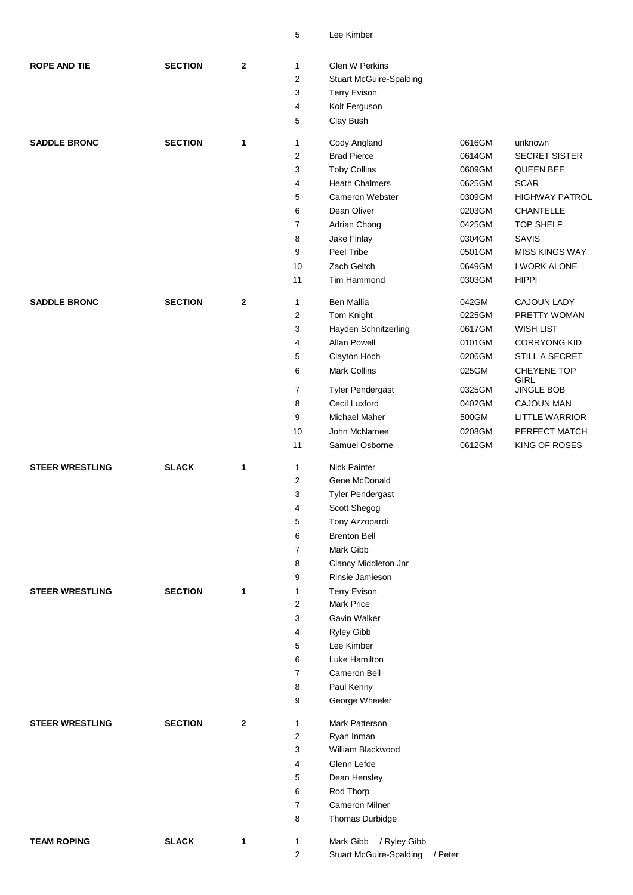| <b>ROPE AND TIE</b>    | <b>SECTION</b> | $\mathbf{2}$ | 1              | Glen W Perkins                 |         |        |                           |
|------------------------|----------------|--------------|----------------|--------------------------------|---------|--------|---------------------------|
|                        |                |              | 2              | <b>Stuart McGuire-Spalding</b> |         |        |                           |
|                        |                |              | 3              | <b>Terry Evison</b>            |         |        |                           |
|                        |                |              | 4              | Kolt Ferguson                  |         |        |                           |
|                        |                |              | 5              | Clay Bush                      |         |        |                           |
| <b>SADDLE BRONC</b>    | <b>SECTION</b> | 1            | 1              | Cody Angland                   |         | 0616GM | unknown                   |
|                        |                |              | $\overline{2}$ | <b>Brad Pierce</b>             |         | 0614GM | <b>SECRET SISTER</b>      |
|                        |                |              | 3              | <b>Toby Collins</b>            |         | 0609GM | <b>QUEEN BEE</b>          |
|                        |                |              | 4              | <b>Heath Chalmers</b>          |         | 0625GM | <b>SCAR</b>               |
|                        |                |              | 5              | Cameron Webster                |         | 0309GM | <b>HIGHWAY PATROL</b>     |
|                        |                |              | 6              | Dean Oliver                    |         | 0203GM | CHANTELLE                 |
|                        |                |              | $\overline{7}$ | Adrian Chong                   |         | 0425GM | <b>TOP SHELF</b>          |
|                        |                |              | 8              | Jake Finlay                    |         | 0304GM | SAVIS                     |
|                        |                |              | 9              | Peel Tribe                     |         | 0501GM | <b>MISS KINGS WAY</b>     |
|                        |                |              | 10             | Zach Geltch                    |         | 0649GM | I WORK ALONE              |
|                        |                |              | 11             | Tim Hammond                    |         | 0303GM | <b>HIPPI</b>              |
| <b>SADDLE BRONC</b>    | <b>SECTION</b> | $\mathbf 2$  | $\mathbf{1}$   | <b>Ben Mallia</b>              | 042GM   |        | <b>CAJOUN LADY</b>        |
|                        |                |              | $\overline{2}$ | Tom Knight                     |         | 0225GM | PRETTY WOMAN              |
|                        |                |              | 3              | Hayden Schnitzerling           |         | 0617GM | <b>WISH LIST</b>          |
|                        |                |              | 4              | Allan Powell                   |         | 0101GM | <b>CORRYONG KID</b>       |
|                        |                |              | 5              | Clayton Hoch                   |         | 0206GM | STILL A SECRET            |
|                        |                |              | 6              | Mark Collins                   | 025GM   |        | CHEYENE TOP               |
|                        |                |              | $\overline{7}$ | <b>Tyler Pendergast</b>        |         | 0325GM | GIRL<br><b>JINGLE BOB</b> |
|                        |                |              | 8              | Cecil Luxford                  |         | 0402GM | CAJOUN MAN                |
|                        |                |              | 9              | Michael Maher                  | 500GM   |        | <b>LITTLE WARRIOR</b>     |
|                        |                |              | 10             | John McNamee                   |         | 0208GM | PERFECT MATCH             |
|                        |                |              | 11             | Samuel Osborne                 |         | 0612GM | KING OF ROSES             |
| <b>STEER WRESTLING</b> | <b>SLACK</b>   | 1            | 1              | <b>Nick Painter</b>            |         |        |                           |
|                        |                |              | $\overline{2}$ | Gene McDonald                  |         |        |                           |
|                        |                |              | 3              | <b>Tyler Pendergast</b>        |         |        |                           |
|                        |                |              | 4              | Scott Shegog                   |         |        |                           |
|                        |                |              | 5              | Tony Azzopardi                 |         |        |                           |
|                        |                |              | 6              | <b>Brenton Bell</b>            |         |        |                           |
|                        |                |              | $\overline{7}$ | Mark Gibb                      |         |        |                           |
|                        |                |              | 8              | Clancy Middleton Jnr           |         |        |                           |
|                        |                |              | 9              | Rinsie Jamieson                |         |        |                           |
| <b>STEER WRESTLING</b> | <b>SECTION</b> | $\mathbf{1}$ | 1              | <b>Terry Evison</b>            |         |        |                           |
|                        |                |              | $\overline{2}$ | <b>Mark Price</b>              |         |        |                           |
|                        |                |              | 3              | Gavin Walker                   |         |        |                           |
|                        |                |              | 4              | Ryley Gibb                     |         |        |                           |
|                        |                |              | 5              | Lee Kimber                     |         |        |                           |
|                        |                |              | 6              | Luke Hamilton                  |         |        |                           |
|                        |                |              | $\overline{7}$ | Cameron Bell                   |         |        |                           |
|                        |                |              | 8              | Paul Kenny                     |         |        |                           |
|                        |                |              | 9              | George Wheeler                 |         |        |                           |
| <b>STEER WRESTLING</b> | <b>SECTION</b> | $\mathbf 2$  | 1              | Mark Patterson                 |         |        |                           |
|                        |                |              | $\overline{2}$ | Ryan Inman                     |         |        |                           |
|                        |                |              | 3              | William Blackwood              |         |        |                           |
|                        |                |              | 4              | Glenn Lefoe                    |         |        |                           |
|                        |                |              | 5              | Dean Hensley                   |         |        |                           |
|                        |                |              | 6              | Rod Thorp                      |         |        |                           |
|                        |                |              | $\overline{7}$ | <b>Cameron Milner</b>          |         |        |                           |
|                        |                |              | 8              | Thomas Durbidge                |         |        |                           |
| <b>TEAM ROPING</b>     | <b>SLACK</b>   | $\mathbf{1}$ | 1              | Mark Gibb<br>/ Ryley Gibb      |         |        |                           |
|                        |                |              | $\overline{c}$ | <b>Stuart McGuire-Spalding</b> | / Peter |        |                           |

Lee Kimber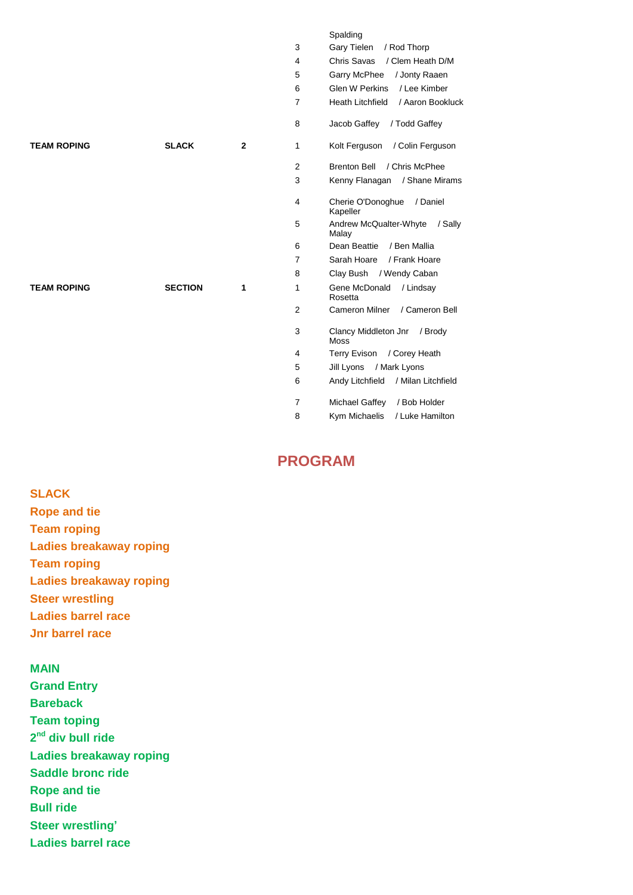#### Spalding

| 3 | Gary Tielen / Rod Thorp                 |
|---|-----------------------------------------|
| 4 | Chris Savas / Clem Heath D/M            |
| 5 | Garry McPhee / Jonty Raaen              |
| 6 | Glen W Perkins / Lee Kimber             |
| 7 | Heath Litchfield / Aaron Bookluck       |
| 8 | Jacob Gaffey / Todd Gaffey              |
| 1 | Kolt Ferguson / Colin Ferguson          |
| 2 | / Chris McPhee<br><b>Brenton Bell</b>   |
| 3 | Kenny Flanagan / Shane Mirams           |
| 4 | Cherie O'Donoghue / Daniel<br>Kapeller  |
| 5 | Andrew McQualter-Whyte / Sally<br>Malay |
| 6 | Dean Beattie / Ben Mallia               |
| 7 | Sarah Hoare / Frank Hoare               |
| 8 | Clay Bush / Wendy Caban                 |
| 1 | Gene McDonald / Lindsay<br>Rosetta      |
| 2 | Cameron Milner / Cameron Bell           |
| 3 | Clancy Middleton Jnr / Brody<br>Moss    |
| 4 | Terry Evison / Corey Heath              |
| 5 | Jill Lyons / Mark Lyons                 |
| 6 | Andy Litchfield / Milan Litchfield      |
| 7 | Michael Gaffey / Bob Holder             |
| 8 | Kym Michaelis / Luke Hamilton           |

# **PROGRAM**

**SLACK Rope and tie Team roping Ladies breakaway roping Team roping Ladies breakaway roping Steer wrestling Ladies barrel race Jnr barrel race**

**TEAM ROPING SLACK** 2

**TEAM ROPING SECTION** 1

## **MAIN**

**Grand Entry Bareback Team toping 2 nd div bull ride Ladies breakaway roping Saddle bronc ride Rope and tie Bull ride Steer wrestling' Ladies barrel race**